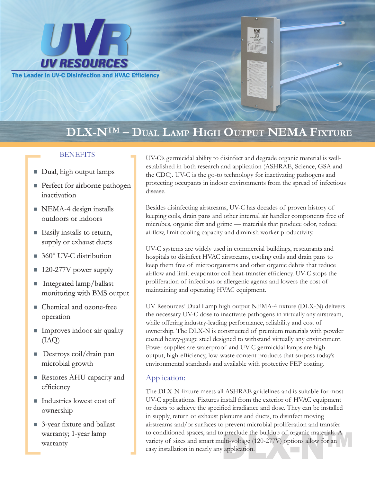

# **DLX-N**™ **– Dual Lamp High Output NEMA Fixture**

- Dual, high output lamps
- **Perfect for airborne pathogen** inactivation
- $\blacksquare$  NEMA-4 design installs outdoors or indoors
- $\blacksquare$  Easily installs to return, supply or exhaust ducts
- $\blacksquare$  360° UV-C distribution
- $\blacksquare$  120-277V power supply
- Integrated lamp/ballast monitoring with BMS output
- Chemical and ozone-free operation
- **n** Improves indoor air quality (IAQ)
- Destroys coil/drain pan microbial growth
- Restores AHU capacity and efficiency
- Industries lowest cost of ownership
- 3-year fixture and ballast warranty; 1-year lamp warranty

BENEFITS UV-C's germicidal ability to disinfect and degrade organic material is wellestablished in both research and application (ASHRAE, Science, GSA and the CDC). UV-C is the go-to technology for inactivating pathogens and protecting occupants in indoor environments from the spread of infectious disease.

**UVR** 

Besides disinfecting airstreams, UV-C has decades of proven history of keeping coils, drain pans and other internal air handler components free of microbes, organic dirt and grime — materials that produce odor, reduce airflow, limit cooling capacity and diminish worker productivity.

UV-C systems are widely used in commercial buildings, restaurants and hospitals to disinfect HVAC airstreams, cooling coils and drain pans to keep them free of microorganisms and other organic debris that reduce airflow and limit evaporator coil heat-transfer efficiency. UV-C stops the proliferation of infectious or allergenic agents and lowers the cost of maintaining and operating HVAC equipment.

UV Resources' Dual Lamp high output NEMA-4 fixture (DLX-N) delivers the necessary UV-C dose to inactivate pathogens in virtually any airstream, while offering industry-leading performance, reliability and cost of ownership. The DLX-N is constructed of premium materials with powder coated heavy-gauge steel designed to withstand virtually any environment. Power supplies are waterproof and UV-C germicidal lamps are high output, high-efficiency, low-waste content products that surpass today's environmental standards and available with protective FEP coating.

# Application:

Dependence the buildup of organic materials. A<br>
ulti-voltage (120-277V) options allow for an<br>
proplication. The DLX-N fixture meets all ASHRAE guidelines and is suitable for most UV-C applications. Fixtures install from the exterior of HVAC equipment or ducts to achieve the specified irradiance and dose. They can be installed in supply, return or exhaust plenums and ducts, to disinfect moving airstreams and/or surfaces to prevent microbial proliferation and transfer to conditioned spaces, and to preclude the buildup of organic materials. A variety of sizes and smart multi-voltage (120-277V) options allow for an easy installation in nearly any application.